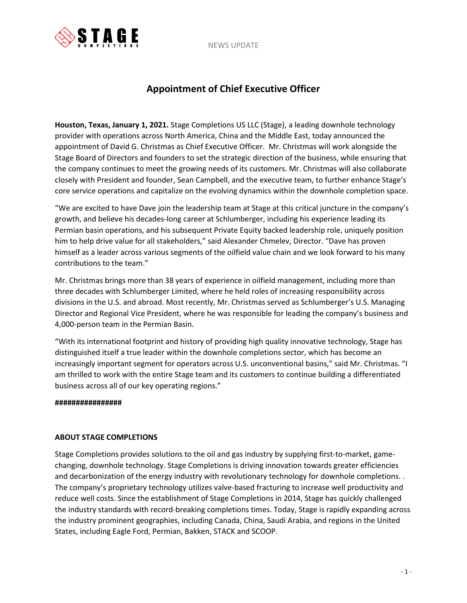NEWS UPDATE



## **Appointment of Chief Executive Officer**

**Houston, Texas, January 1, 2021.** Stage Completions US LLC (Stage), a leading downhole technology provider with operations across North America, China and the Middle East, today announced the appointment of David G. Christmas as Chief Executive Officer. Mr. Christmas will work alongside the Stage Board of Directors and founders to set the strategic direction of the business, while ensuring that the company continues to meet the growing needs of its customers. Mr. Christmas will also collaborate closely with President and founder, Sean Campbell, and the executive team, to further enhance Stage's core service operations and capitalize on the evolving dynamics within the downhole completion space.

"We are excited to have Dave join the leadership team at Stage at this critical juncture in the company's growth, and believe his decades-long career at Schlumberger, including his experience leading its Permian basin operations, and his subsequent Private Equity backed leadership role, uniquely position him to help drive value for all stakeholders," said Alexander Chmelev, Director. "Dave has proven himself as a leader across various segments of the oilfield value chain and we look forward to his many contributions to the team."

Mr. Christmas brings more than 38 years of experience in oilfield management, including more than three decades with Schlumberger Limited, where he held roles of increasing responsibility across divisions in the U.S. and abroad. Most recently, Mr. Christmas served as Schlumberger's U.S. Managing Director and Regional Vice President, where he was responsible for leading the company's business and 4,000-person team in the Permian Basin.

"With its international footprint and history of providing high quality innovative technology, Stage has distinguished itself a true leader within the downhole completions sector, which has become an increasingly important segment for operators across U.S. unconventional basins," said Mr. Christmas. "I am thrilled to work with the entire Stage team and its customers to continue building a differentiated business across all of our key operating regions."

## **################**

## **ABOUT STAGE COMPLETIONS**

Stage Completions provides solutions to the oil and gas industry by supplying first-to-market, gamechanging, downhole technology. Stage Completions is driving innovation towards greater efficiencies and decarbonization of the energy industry with revolutionary technology for downhole completions. . The company's proprietary technology utilizes valve-based fracturing to increase well productivity and reduce well costs. Since the establishment of Stage Completions in 2014, Stage has quickly challenged the industry standards with record-breaking completions times. Today, Stage is rapidly expanding across the industry prominent geographies, including Canada, China, Saudi Arabia, and regions in the United States, including Eagle Ford, Permian, Bakken, STACK and SCOOP.